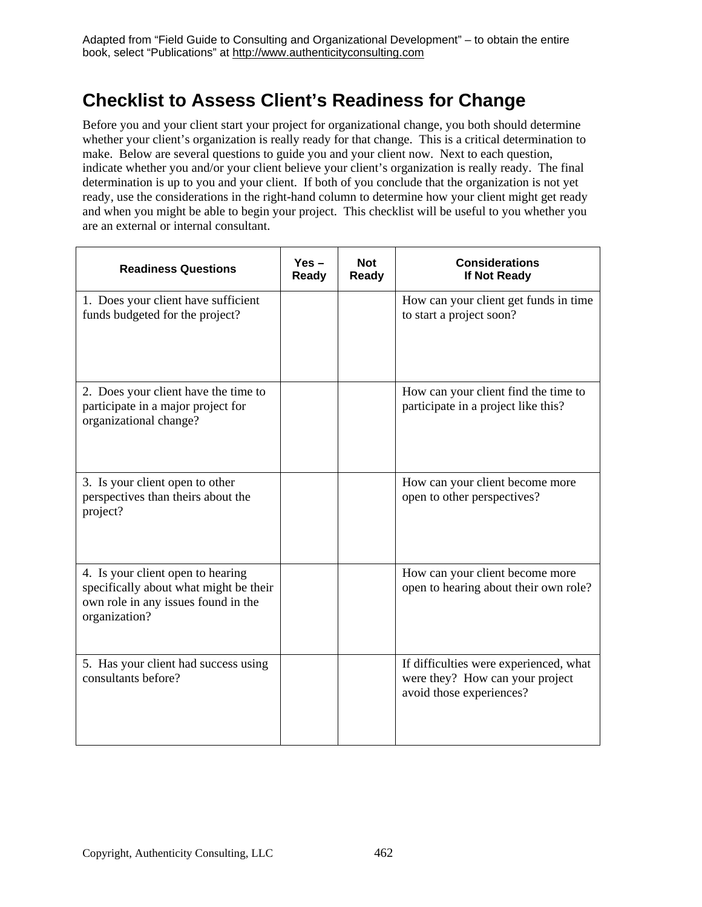## **Checklist to Assess Client's Readiness for Change**

Before you and your client start your project for organizational change, you both should determine whether your client's organization is really ready for that change. This is a critical determination to make. Below are several questions to guide you and your client now. Next to each question, indicate whether you and/or your client believe your client's organization is really ready. The final determination is up to you and your client. If both of you conclude that the organization is not yet ready, use the considerations in the right-hand column to determine how your client might get ready and when you might be able to begin your project. This checklist will be useful to you whether you are an external or internal consultant.

| <b>Readiness Questions</b>                                                                                                          | $Yes -$<br>Ready | <b>Not</b><br>Ready | <b>Considerations</b><br>If Not Ready                                                                 |
|-------------------------------------------------------------------------------------------------------------------------------------|------------------|---------------------|-------------------------------------------------------------------------------------------------------|
| 1. Does your client have sufficient<br>funds budgeted for the project?                                                              |                  |                     | How can your client get funds in time<br>to start a project soon?                                     |
| 2. Does your client have the time to<br>participate in a major project for<br>organizational change?                                |                  |                     | How can your client find the time to<br>participate in a project like this?                           |
| 3. Is your client open to other<br>perspectives than theirs about the<br>project?                                                   |                  |                     | How can your client become more<br>open to other perspectives?                                        |
| 4. Is your client open to hearing<br>specifically about what might be their<br>own role in any issues found in the<br>organization? |                  |                     | How can your client become more<br>open to hearing about their own role?                              |
| 5. Has your client had success using<br>consultants before?                                                                         |                  |                     | If difficulties were experienced, what<br>were they? How can your project<br>avoid those experiences? |